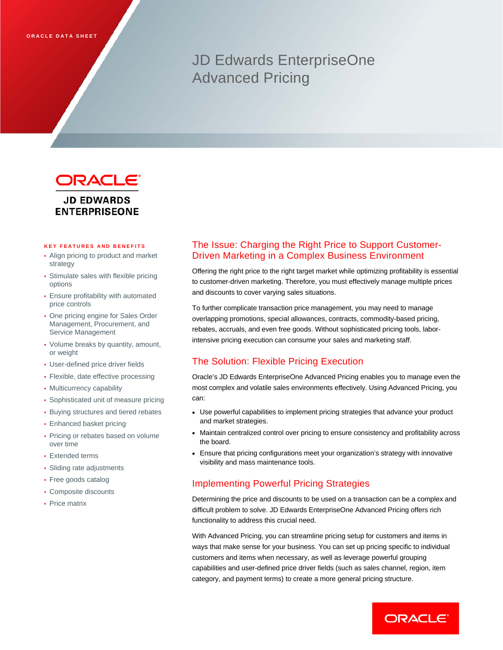# JD Edwards EnterpriseOne Advanced Pricing



# **ENTERPRISEONE**

#### **KEY FEATURES AND BENEFITS**

- Align pricing to product and market strategy
- Stimulate sales with flexible pricing options
- Ensure profitability with automated price controls
- One pricing engine for Sales Order Management, Procurement, and Service Management
- Volume breaks by quantity, amount, or weight
- User-defined price driver fields
- Flexible, date effective processing
- Multicurrency capability
- Sophisticated unit of measure pricing
- Buying structures and tiered rebates
- Enhanced basket pricing
- Pricing or rebates based on volume over time
- Extended terms
- Sliding rate adjustments
- Free goods catalog
- Composite discounts
- Price matrix

# The Issue: Charging the Right Price to Support Customer-Driven Marketing in a Complex Business Environment

Offering the right price to the right target market while optimizing profitability is essential to customer-driven marketing. Therefore, you must effectively manage multiple prices and discounts to cover varying sales situations.

To further complicate transaction price management, you may need to manage overlapping promotions, special allowances, contracts, commodity-based pricing, rebates, accruals, and even free goods. Without sophisticated pricing tools, laborintensive pricing execution can consume your sales and marketing staff.

# The Solution: Flexible Pricing Execution

Oracle's JD Edwards EnterpriseOne Advanced Pricing enables you to manage even the most complex and volatile sales environments effectively. Using Advanced Pricing, you can:

- Use powerful capabilities to implement pricing strategies that advance your product and market strategies.
- Maintain centralized control over pricing to ensure consistency and profitability across the board.
- Ensure that pricing configurations meet your organization's strategy with innovative visibility and mass maintenance tools.

# Implementing Powerful Pricing Strategies

Determining the price and discounts to be used on a transaction can be a complex and difficult problem to solve. JD Edwards EnterpriseOne Advanced Pricing offers rich functionality to address this crucial need.

With Advanced Pricing, you can streamline pricing setup for customers and items in ways that make sense for your business. You can set up pricing specific to individual customers and items when necessary, as well as leverage powerful grouping capabilities and user-defined price driver fields (such as sales channel, region, item category, and payment terms) to create a more general pricing structure.

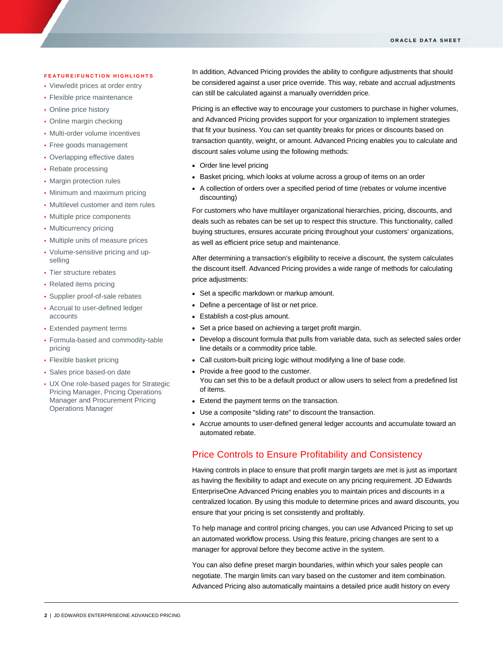#### **FEATURE/FUNCTION HIGHLIGHTS**

- View/edit prices at order entry
- Flexible price maintenance
- Online price history

I

- Online margin checking
- Multi-order volume incentives
- Free goods management
- Overlapping effective dates
- Rebate processing
- Margin protection rules
- Minimum and maximum pricing
- Multilevel customer and item rules
- Multiple price components
- Multicurrency pricing
- Multiple units of measure prices
- Volume-sensitive pricing and upselling
- Tier structure rebates
- Related items pricing
- Supplier proof-of-sale rebates
- Accrual to user-defined ledger accounts
- Extended payment terms
- Formula-based and commodity-table pricing
- Flexible basket pricing
- Sales price based-on date
- UX One role-based pages for Strategic Pricing Manager, Pricing Operations Manager and Procurement Pricing Operations Manager

In addition, Advanced Pricing provides the ability to configure adjustments that should be considered against a user price override. This way, rebate and accrual adjustments can still be calculated against a manually overridden price.

Pricing is an effective way to encourage your customers to purchase in higher volumes, and Advanced Pricing provides support for your organization to implement strategies that fit your business. You can set quantity breaks for prices or discounts based on transaction quantity, weight, or amount. Advanced Pricing enables you to calculate and discount sales volume using the following methods:

- Order line level pricing
- Basket pricing, which looks at volume across a group of items on an order
- A collection of orders over a specified period of time (rebates or volume incentive discounting)

For customers who have multilayer organizational hierarchies, pricing, discounts, and deals such as rebates can be set up to respect this structure. This functionality, called buying structures, ensures accurate pricing throughout your customers' organizations, as well as efficient price setup and maintenance.

After determining a transaction's eligibility to receive a discount, the system calculates the discount itself. Advanced Pricing provides a wide range of methods for calculating price adjustments:

- Set a specific markdown or markup amount.
- Define a percentage of list or net price.
- Establish a cost-plus amount.
- Set a price based on achieving a target profit margin.
- Develop a discount formula that pulls from variable data, such as selected sales order line details or a commodity price table.
- Call custom-built pricing logic without modifying a line of base code.
- Provide a free good to the customer.

You can set this to be a default product or allow users to select from a predefined list of items.

- Extend the payment terms on the transaction.
- Use a composite "sliding rate" to discount the transaction.
- Accrue amounts to user-defined general ledger accounts and accumulate toward an automated rebate.

### Price Controls to Ensure Profitability and Consistency

Having controls in place to ensure that profit margin targets are met is just as important as having the flexibility to adapt and execute on any pricing requirement. JD Edwards EnterpriseOne Advanced Pricing enables you to maintain prices and discounts in a centralized location. By using this module to determine prices and award discounts, you ensure that your pricing is set consistently and profitably.

To help manage and control pricing changes, you can use Advanced Pricing to set up an automated workflow process. Using this feature, pricing changes are sent to a manager for approval before they become active in the system.

You can also define preset margin boundaries, within which your sales people can negotiate. The margin limits can vary based on the customer and item combination. Advanced Pricing also automatically maintains a detailed price audit history on every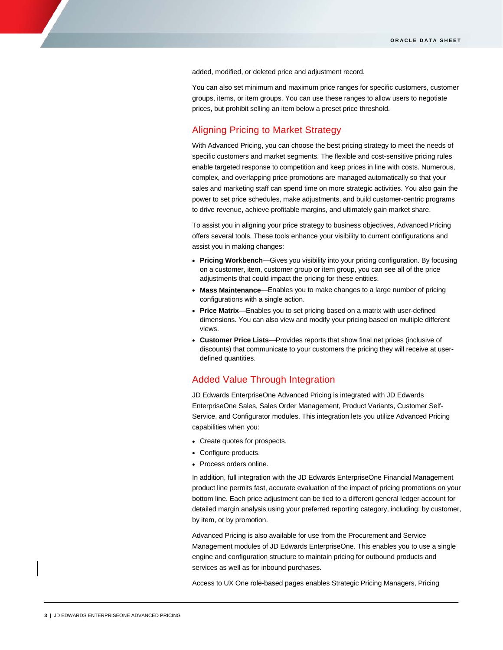added, modified, or deleted price and adjustment record.

You can also set minimum and maximum price ranges for specific customers, customer groups, items, or item groups. You can use these ranges to allow users to negotiate prices, but prohibit selling an item below a preset price threshold.

# Aligning Pricing to Market Strategy

With Advanced Pricing, you can choose the best pricing strategy to meet the needs of specific customers and market segments. The flexible and cost-sensitive pricing rules enable targeted response to competition and keep prices in line with costs. Numerous, complex, and overlapping price promotions are managed automatically so that your sales and marketing staff can spend time on more strategic activities. You also gain the power to set price schedules, make adjustments, and build customer-centric programs to drive revenue, achieve profitable margins, and ultimately gain market share.

To assist you in aligning your price strategy to business objectives, Advanced Pricing offers several tools. These tools enhance your visibility to current configurations and assist you in making changes:

- **Pricing Workbench**—Gives you visibility into your pricing configuration. By focusing on a customer, item, customer group or item group, you can see all of the price adjustments that could impact the pricing for these entities.
- **Mass Maintenance**—Enables you to make changes to a large number of pricing configurations with a single action.
- **Price Matrix**—Enables you to set pricing based on a matrix with user-defined dimensions. You can also view and modify your pricing based on multiple different views.
- **Customer Price Lists**—Provides reports that show final net prices (inclusive of discounts) that communicate to your customers the pricing they will receive at userdefined quantities.

#### Added Value Through Integration

JD Edwards EnterpriseOne Advanced Pricing is integrated with JD Edwards EnterpriseOne Sales, Sales Order Management, Product Variants, Customer Self-Service, and Configurator modules. This integration lets you utilize Advanced Pricing capabilities when you:

- Create quotes for prospects.
- Configure products.
- Process orders online.

In addition, full integration with the JD Edwards EnterpriseOne Financial Management product line permits fast, accurate evaluation of the impact of pricing promotions on your bottom line. Each price adjustment can be tied to a different general ledger account for detailed margin analysis using your preferred reporting category, including: by customer, by item, or by promotion.

Advanced Pricing is also available for use from the Procurement and Service Management modules of JD Edwards EnterpriseOne. This enables you to use a single engine and configuration structure to maintain pricing for outbound products and services as well as for inbound purchases.

Access to UX One role-based pages enables Strategic Pricing Managers, Pricing

I